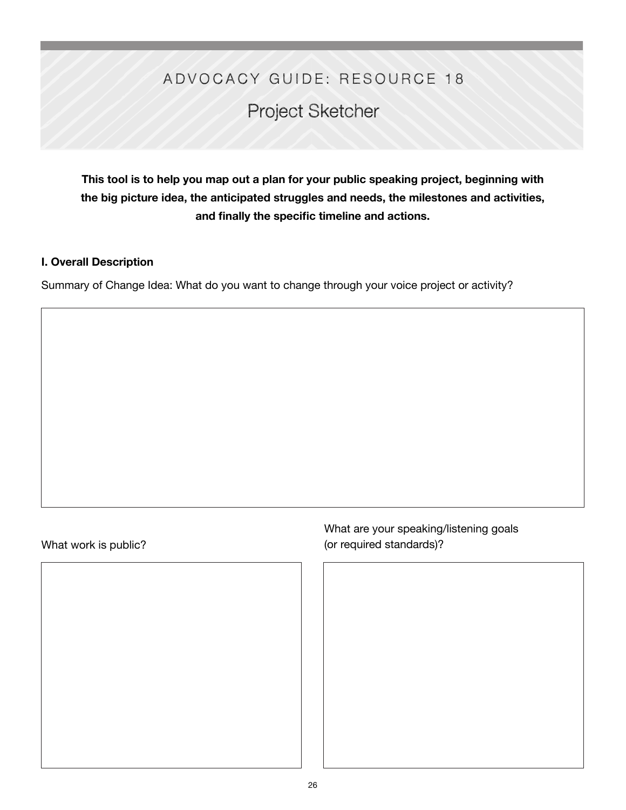## ADVOCACY GUIDE: RESOURCE 18

# Project Sketcher

**This tool is to help you map out a plan for your public speaking project, beginning with the big picture idea, the anticipated struggles and needs, the milestones and activities, and finally the specific timeline and actions.** 

#### **I. Overall Description**

Summary of Change Idea: What do you want to change through your voice project or activity?

## What work is public?

What are your speaking/listening goals (or required standards)?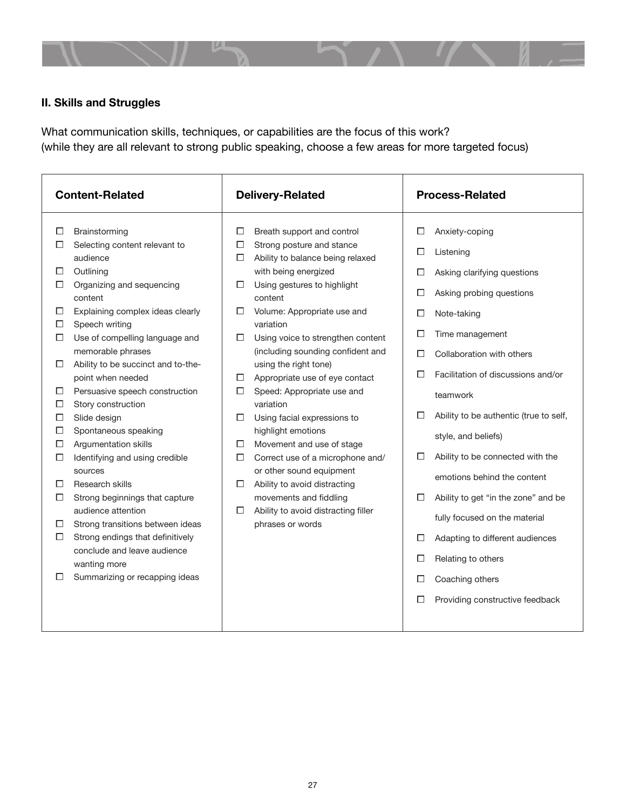

## **II. Skills and Struggles**

What communication skills, techniques, or capabilities are the focus of this work? (while they are all relevant to strong public speaking, choose a few areas for more targeted focus)

| <b>Content-Related</b>                                                                                                                                                                                                                                                                                                                                                                                                                                                                                                                                                                                                                                                                                                                                                                                                                                           | <b>Delivery-Related</b>                                                                                                                                                                                                                                                                                                                                                                                                                                                                                                                                                                                                                                          | <b>Process-Related</b>                                                                                                                                                                                                                                                                                                                                                                                                                                                                                                                                                                                        |
|------------------------------------------------------------------------------------------------------------------------------------------------------------------------------------------------------------------------------------------------------------------------------------------------------------------------------------------------------------------------------------------------------------------------------------------------------------------------------------------------------------------------------------------------------------------------------------------------------------------------------------------------------------------------------------------------------------------------------------------------------------------------------------------------------------------------------------------------------------------|------------------------------------------------------------------------------------------------------------------------------------------------------------------------------------------------------------------------------------------------------------------------------------------------------------------------------------------------------------------------------------------------------------------------------------------------------------------------------------------------------------------------------------------------------------------------------------------------------------------------------------------------------------------|---------------------------------------------------------------------------------------------------------------------------------------------------------------------------------------------------------------------------------------------------------------------------------------------------------------------------------------------------------------------------------------------------------------------------------------------------------------------------------------------------------------------------------------------------------------------------------------------------------------|
| Brainstorming<br>П<br>П<br>Selecting content relevant to<br>□<br>□<br>audience<br>□<br>Outlining<br>П<br>Organizing and sequencing<br>□<br>□<br>content<br>Explaining complex ideas clearly<br>п<br>□<br>Speech writing<br>□<br>Use of compelling language and<br>П<br>□<br>memorable phrases<br>Ability to be succinct and to-the-<br>П<br>point when needed<br>□<br>Persuasive speech construction<br>□<br>□<br>Story construction<br>□<br>Slide design<br>□<br>П<br>Spontaneous speaking<br>□<br>Argumentation skills<br>□<br>□<br>Identifying and using credible<br>□<br>□<br>sources<br>Research skills<br>□<br>П<br>□<br>Strong beginnings that capture<br>audience attention<br>□<br>Strong transitions between ideas<br>□<br>Strong endings that definitively<br>□<br>conclude and leave audience<br>wanting more<br>Summarizing or recapping ideas<br>□ | Breath support and control<br>Strong posture and stance<br>Ability to balance being relaxed<br>with being energized<br>Using gestures to highlight<br>content<br>Volume: Appropriate use and<br>variation<br>Using voice to strengthen content<br>(including sounding confident and<br>using the right tone)<br>Appropriate use of eye contact<br>Speed: Appropriate use and<br>variation<br>Using facial expressions to<br>highlight emotions<br>Movement and use of stage<br>Correct use of a microphone and/<br>or other sound equipment<br>Ability to avoid distracting<br>movements and fiddling<br>Ability to avoid distracting filler<br>phrases or words | П<br>Anxiety-coping<br>□<br>Listening<br>Asking clarifying questions<br>П<br>Asking probing questions<br>□<br>□<br>Note-taking<br>П<br>Time management<br>П<br>Collaboration with others<br>Facilitation of discussions and/or<br>П<br>teamwork<br>Ability to be authentic (true to self,<br>П<br>style, and beliefs)<br>Ability to be connected with the<br>П<br>emotions behind the content<br>Ability to get "in the zone" and be<br>□<br>fully focused on the material<br>Adapting to different audiences<br>П<br>П<br>Relating to others<br>Coaching others<br>П<br>П<br>Providing constructive feedback |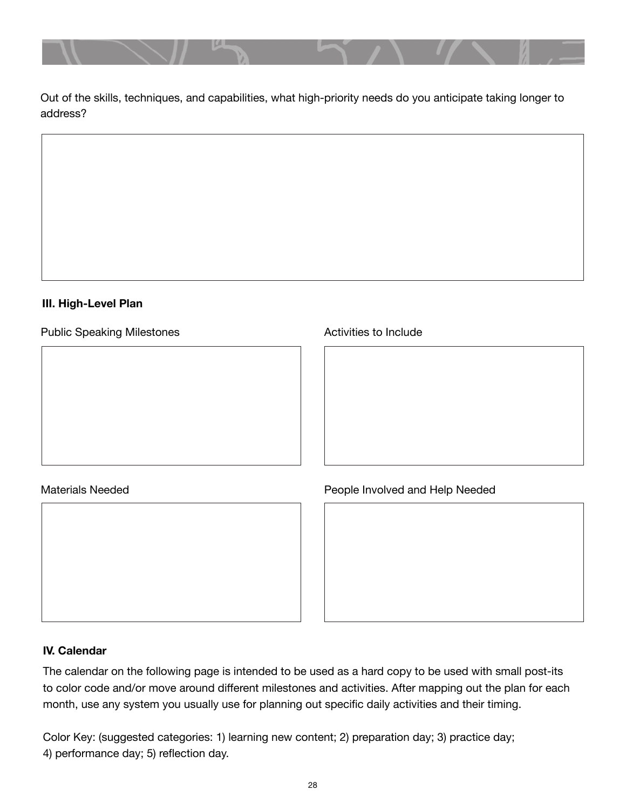

Out of the skills, techniques, and capabilities, what high-priority needs do you anticipate taking longer to address?

### **III. High-Level Plan**

Public Speaking Milestones

#### Materials Needed

Activities to Include

## People Involved and Help Needed

#### **IV. Calendar**

The calendar on the following page is intended to be used as a hard copy to be used with small post-its to color code and/or move around different milestones and activities. After mapping out the plan for each month, use any system you usually use for planning out specific daily activities and their timing.

Color Key: (suggested categories: 1) learning new content; 2) preparation day; 3) practice day; 4) performance day; 5) reflection day.